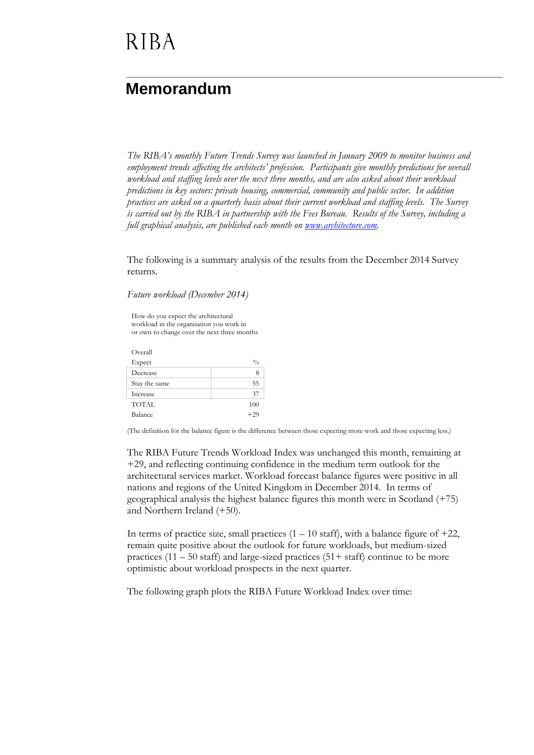### **Memorandum**

*The RIBA's monthly Future Trends Survey was launched in January 2009 to monitor business and employment trends affecting the architects' profession. Participants give monthly predictions for overall workload and staffing levels over the next three months, and are also asked about their workload predictions in key sectors: private housing, commercial, community and public sector. In addition practices are asked on a quarterly basis about their current workload and staffing levels. The Survey is carried out by the RIBA in partnership with the Fees Bureau. Results of the Survey, including a full graphical analysis, are published each month on [www.architecture.com.](http://www.architecture.com/)*

The following is a summary analysis of the results from the December 2014 Survey returns.

*Future workload (December 2014)*

How do you expect the architectural workload in the organisation you work in or own to change over the next three months

Overall  $\mathbf{Expected}$   $\%$ Decrease 8 Stay the same 55 Increase 37 TOTAL 100 Balance  $+29$ 

(The definition for the balance figure is the difference between those expecting more work and those expecting less.)

The RIBA Future Trends Workload Index was unchanged this month, remaining at +29, and reflecting continuing confidence in the medium term outlook for the architectural services market. Workload forecast balance figures were positive in all nations and regions of the United Kingdom in December 2014. In terms of geographical analysis the highest balance figures this month were in Scotland (+75) and Northern Ireland (+50).

In terms of practice size, small practices  $(1 - 10 \text{ staff})$ , with a balance figure of  $+22$ , remain quite positive about the outlook for future workloads, but medium-sized practices  $(11 – 50$  staff) and large-sized practices  $(51 + \text{staff})$  continue to be more optimistic about workload prospects in the next quarter.

The following graph plots the RIBA Future Workload Index over time: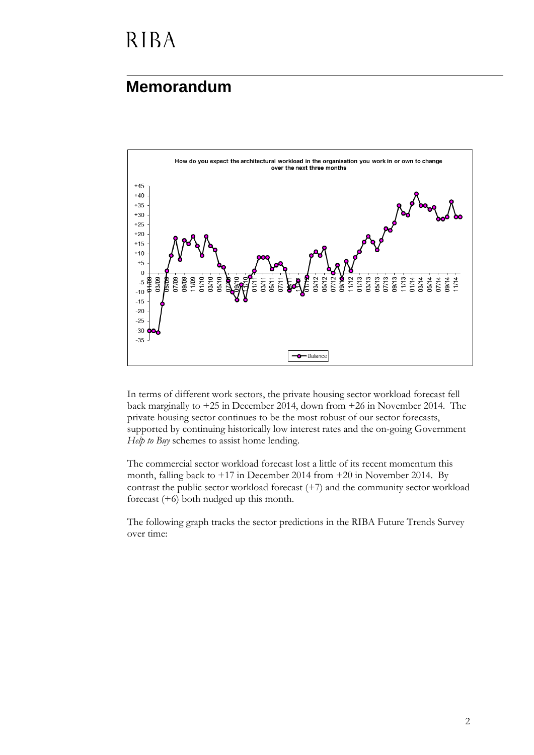### **Memorandum**



In terms of different work sectors, the private housing sector workload forecast fell back marginally to +25 in December 2014, down from +26 in November 2014. The private housing sector continues to be the most robust of our sector forecasts, supported by continuing historically low interest rates and the on-going Government *Help to Buy* schemes to assist home lending.

The commercial sector workload forecast lost a little of its recent momentum this month, falling back to +17 in December 2014 from +20 in November 2014. By contrast the public sector workload forecast (+7) and the community sector workload forecast (+6) both nudged up this month.

The following graph tracks the sector predictions in the RIBA Future Trends Survey over time: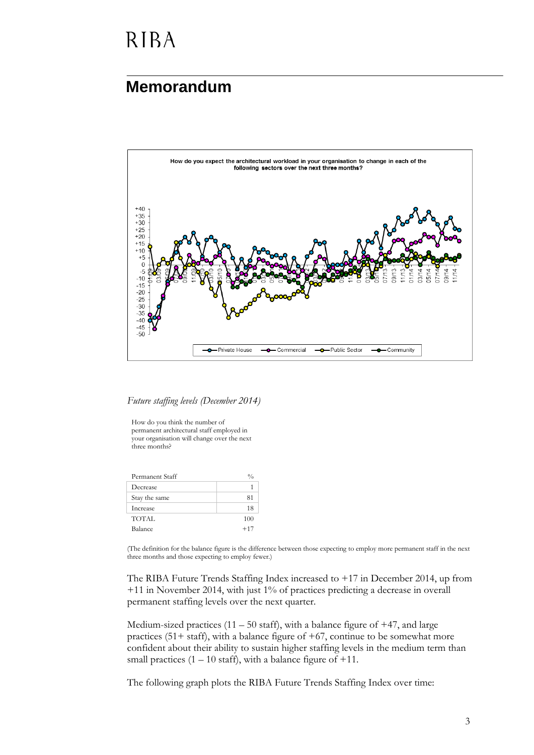#### **Memorandum**



*Future staffing levels (December 2014)*

How do you think the number of permanent architectural staff employed in your organisation will change over the next three months?

| Permanent Staff | 0/0   |
|-----------------|-------|
| Decrease        |       |
| Stay the same   | 81    |
| Increase        | 18    |
| TOTAL           | 100   |
| Balance         | $+17$ |

(The definition for the balance figure is the difference between those expecting to employ more permanent staff in the next three months and those expecting to employ fewer.)

The RIBA Future Trends Staffing Index increased to +17 in December 2014, up from +11 in November 2014, with just 1% of practices predicting a decrease in overall permanent staffing levels over the next quarter.

Medium-sized practices  $(11 – 50 \text{ staff})$ , with a balance figure of  $+47$ , and large practices (51+ staff), with a balance figure of  $+67$ , continue to be somewhat more confident about their ability to sustain higher staffing levels in the medium term than small practices  $(1 - 10 \text{ staff})$ , with a balance figure of  $+11$ .

The following graph plots the RIBA Future Trends Staffing Index over time: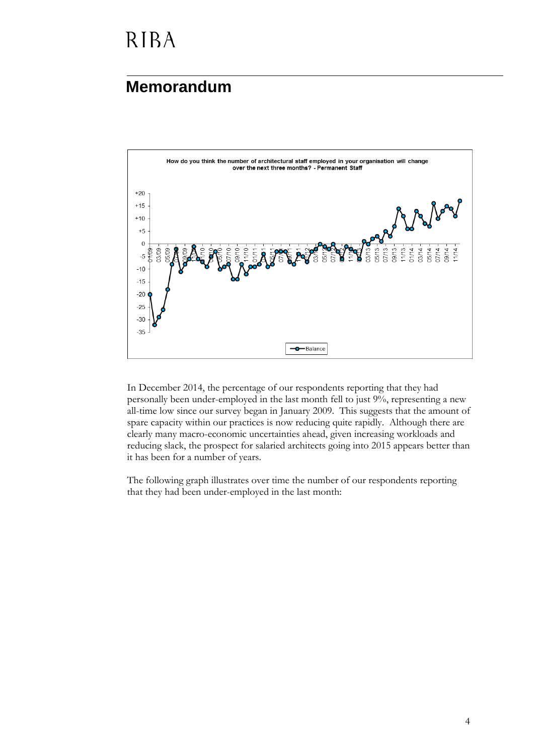### **Memorandum**



In December 2014, the percentage of our respondents reporting that they had personally been under-employed in the last month fell to just 9%, representing a new all-time low since our survey began in January 2009. This suggests that the amount of spare capacity within our practices is now reducing quite rapidly. Although there are clearly many macro-economic uncertainties ahead, given increasing workloads and reducing slack, the prospect for salaried architects going into 2015 appears better than it has been for a number of years.

The following graph illustrates over time the number of our respondents reporting that they had been under-employed in the last month: